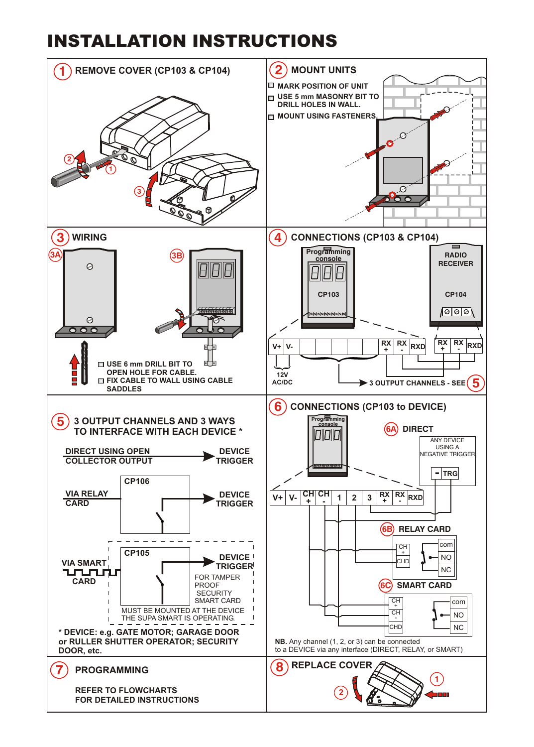## INSTALLATION INSTRUCTIONS

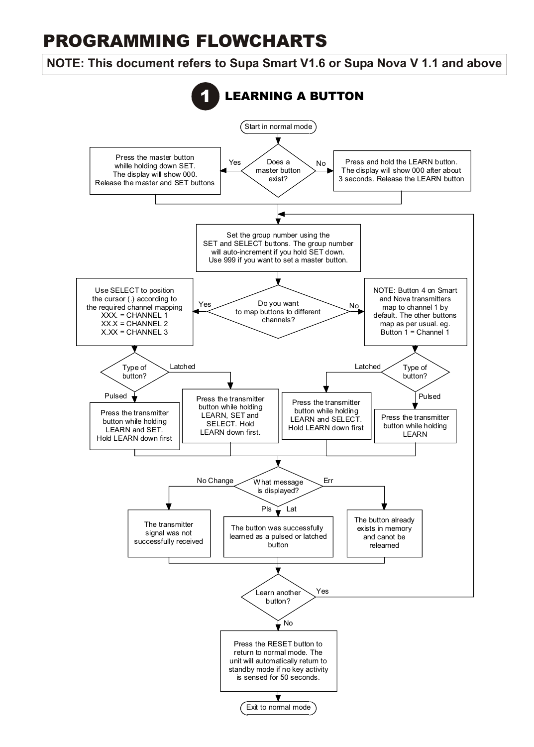## PROGRAMMING FLOWCHARTS

## **NOTE: This document refers to Supa Smart V1.6 or Supa Nova V 1.1 and above**

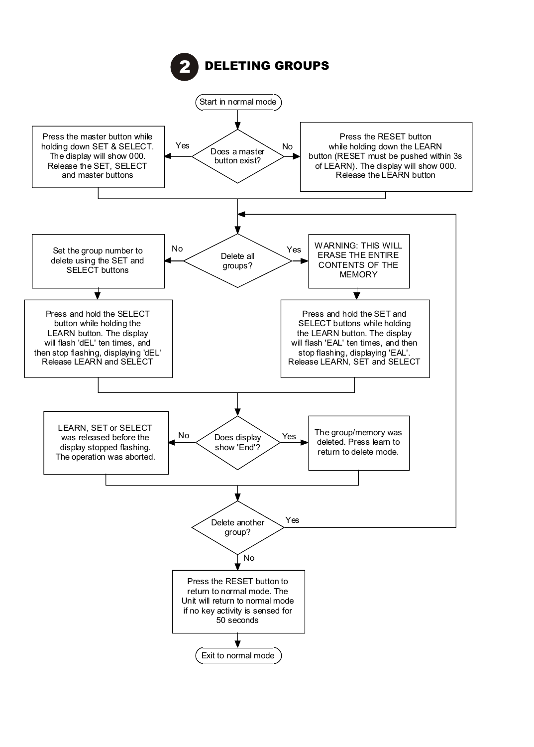